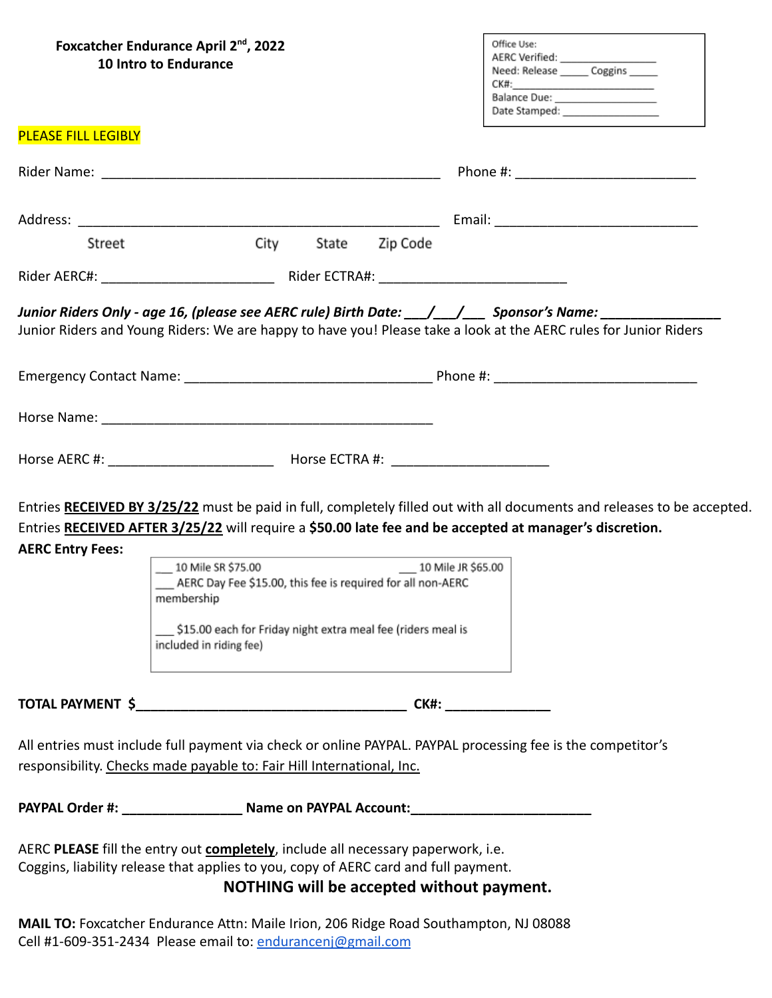|                            | Foxcatcher Endurance April 2 <sup>nd</sup> , 2022<br>10 Intro to Endurance                                                                                                                                                                                                                                                                                                                                                 | Office Use:<br>AERC Verified: ________________<br>Need: Release ______ Coggins _____                                    |
|----------------------------|----------------------------------------------------------------------------------------------------------------------------------------------------------------------------------------------------------------------------------------------------------------------------------------------------------------------------------------------------------------------------------------------------------------------------|-------------------------------------------------------------------------------------------------------------------------|
| <b>PLEASE FILL LEGIBLY</b> |                                                                                                                                                                                                                                                                                                                                                                                                                            |                                                                                                                         |
|                            |                                                                                                                                                                                                                                                                                                                                                                                                                            |                                                                                                                         |
|                            |                                                                                                                                                                                                                                                                                                                                                                                                                            |                                                                                                                         |
| Street                     | City State Zip Code                                                                                                                                                                                                                                                                                                                                                                                                        |                                                                                                                         |
|                            |                                                                                                                                                                                                                                                                                                                                                                                                                            |                                                                                                                         |
|                            | Junior Riders Only - age 16, (please see AERC rule) Birth Date: ___/___/____ Sponsor's Name: ___________<br>Junior Riders and Young Riders: We are happy to have you! Please take a look at the AERC rules for Junior Riders                                                                                                                                                                                               |                                                                                                                         |
|                            |                                                                                                                                                                                                                                                                                                                                                                                                                            |                                                                                                                         |
|                            |                                                                                                                                                                                                                                                                                                                                                                                                                            |                                                                                                                         |
| <b>AERC Entry Fees:</b>    | Horse AERC #: _________________________________ Horse ECTRA #: __________________<br>Entries RECEIVED AFTER 3/25/22 will require a \$50.00 late fee and be accepted at manager's discretion.<br>___ 10 Mile SR \$75.00<br>___ 10 Mile JR \$65.00<br>_ AERC Day Fee \$15.00, this fee is required for all non-AERC<br>membership<br>\$15.00 each for Friday night extra meal fee (riders meal is<br>included in riding fee) | Entries RECEIVED BY 3/25/22 must be paid in full, completely filled out with all documents and releases to be accepted. |
|                            |                                                                                                                                                                                                                                                                                                                                                                                                                            |                                                                                                                         |
|                            | All entries must include full payment via check or online PAYPAL. PAYPAL processing fee is the competitor's<br>responsibility. Checks made payable to: Fair Hill International, Inc.                                                                                                                                                                                                                                       |                                                                                                                         |
|                            | PAYPAL Order #: _________________________ Name on PAYPAL Account: __________________________________                                                                                                                                                                                                                                                                                                                       |                                                                                                                         |
|                            | AERC PLEASE fill the entry out completely, include all necessary paperwork, i.e.<br>Coggins, liability release that applies to you, copy of AERC card and full payment.<br>NOTHING will be accepted without payment.                                                                                                                                                                                                       |                                                                                                                         |

**MAIL TO:** Foxcatcher Endurance Attn: Maile Irion, 206 Ridge Road Southampton, NJ 08088 Cell #1-609-351-2434 Please email to: [endurancenj@gmail.com](mailto:endurancenj@gmail.com)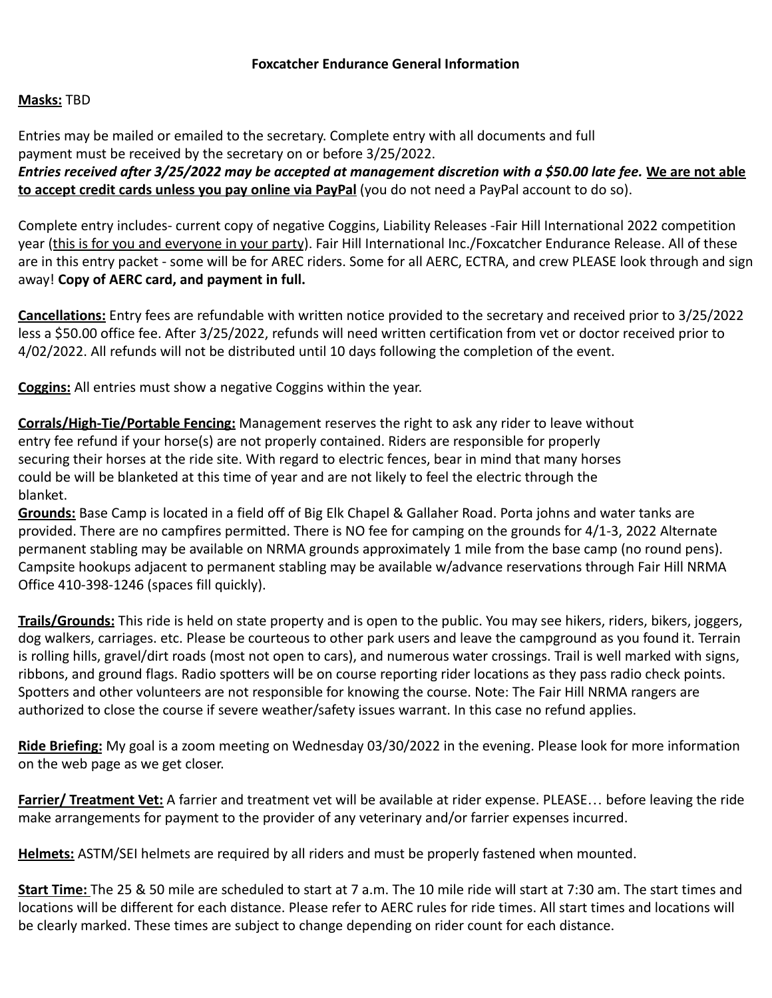# **Masks:** TBD

Entries may be mailed or emailed to the secretary. Complete entry with all documents and full payment must be received by the secretary on or before 3/25/2022.

*Entries received after 3/25/2022 may be accepted at management discretion with a \$50.00 late fee.* **We are not able to accept credit cards unless you pay online via PayPal** (you do not need a PayPal account to do so).

Complete entry includes- current copy of negative Coggins, Liability Releases -Fair Hill International 2022 competition year (this is for you and everyone in your party). Fair Hill International Inc./Foxcatcher Endurance Release. All of these are in this entry packet - some will be for AREC riders. Some for all AERC, ECTRA, and crew PLEASE look through and sign away! **Copy of AERC card, and payment in full.**

**Cancellations:** Entry fees are refundable with written notice provided to the secretary and received prior to 3/25/2022 less a \$50.00 office fee. After 3/25/2022, refunds will need written certification from vet or doctor received prior to 4/02/2022. All refunds will not be distributed until 10 days following the completion of the event.

**Coggins:** All entries must show a negative Coggins within the year.

**Corrals/High-Tie/Portable Fencing:** Management reserves the right to ask any rider to leave without entry fee refund if your horse(s) are not properly contained. Riders are responsible for properly securing their horses at the ride site. With regard to electric fences, bear in mind that many horses could be will be blanketed at this time of year and are not likely to feel the electric through the blanket.

**Grounds:** Base Camp is located in a field off of Big Elk Chapel & Gallaher Road. Porta johns and water tanks are provided. There are no campfires permitted. There is NO fee for camping on the grounds for 4/1-3, 2022 Alternate permanent stabling may be available on NRMA grounds approximately 1 mile from the base camp (no round pens). Campsite hookups adjacent to permanent stabling may be available w/advance reservations through Fair Hill NRMA Office 410-398-1246 (spaces fill quickly).

**Trails/Grounds:** This ride is held on state property and is open to the public. You may see hikers, riders, bikers, joggers, dog walkers, carriages. etc. Please be courteous to other park users and leave the campground as you found it. Terrain is rolling hills, gravel/dirt roads (most not open to cars), and numerous water crossings. Trail is well marked with signs, ribbons, and ground flags. Radio spotters will be on course reporting rider locations as they pass radio check points. Spotters and other volunteers are not responsible for knowing the course. Note: The Fair Hill NRMA rangers are authorized to close the course if severe weather/safety issues warrant. In this case no refund applies.

**Ride Briefing:** My goal is a zoom meeting on Wednesday 03/30/2022 in the evening. Please look for more information on the web page as we get closer.

**Farrier/ Treatment Vet:** A farrier and treatment vet will be available at rider expense. PLEASE… before leaving the ride make arrangements for payment to the provider of any veterinary and/or farrier expenses incurred.

**Helmets:** ASTM/SEI helmets are required by all riders and must be properly fastened when mounted.

**Start Time:** The 25 & 50 mile are scheduled to start at 7 a.m. The 10 mile ride will start at 7:30 am. The start times and locations will be different for each distance. Please refer to AERC rules for ride times. All start times and locations will be clearly marked. These times are subject to change depending on rider count for each distance.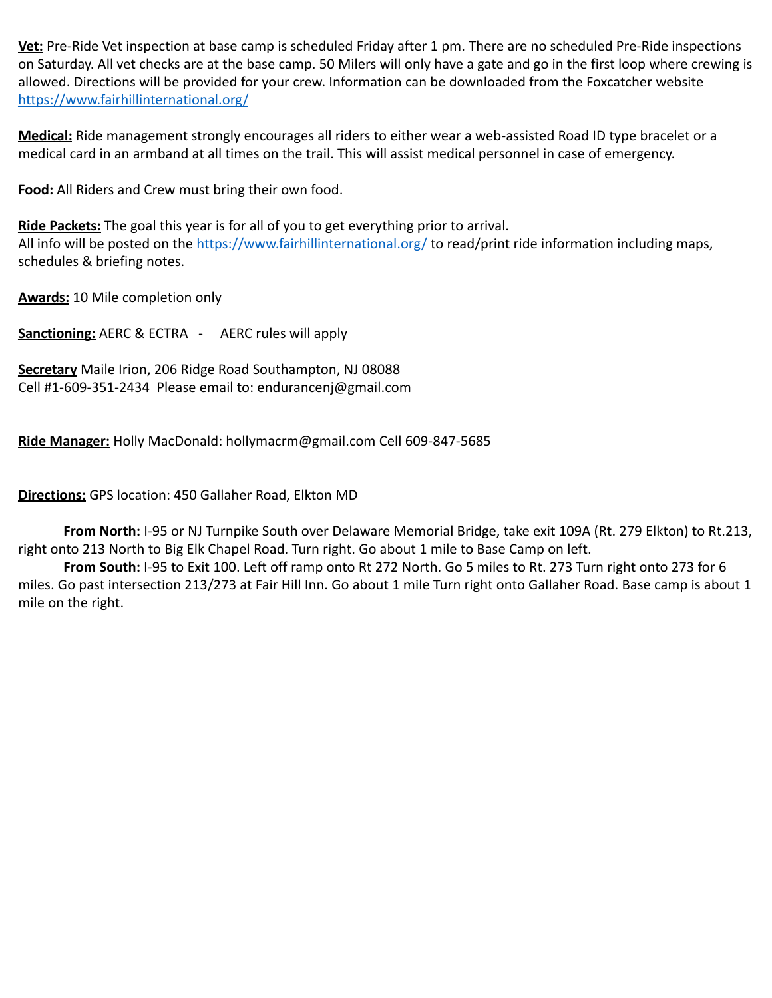**Vet:** Pre-Ride Vet inspection at base camp is scheduled Friday after 1 pm. There are no scheduled Pre-Ride inspections on Saturday. All vet checks are at the base camp. 50 Milers will only have a gate and go in the first loop where crewing is allowed. Directions will be provided for your crew. Information can be downloaded from the Foxcatcher website <https://www.fairhillinternational.org/>

**Medical:** Ride management strongly encourages all riders to either wear a web-assisted Road ID type bracelet or a medical card in an armband at all times on the trail. This will assist medical personnel in case of emergency.

**Food:** All Riders and Crew must bring their own food.

**Ride Packets:** The goal this year is for all of you to get everything prior to arrival. All info will be posted on the https://www.fairhillinternational.org/ to read/print ride information including maps, schedules & briefing notes.

**Awards:** 10 Mile completion only

**Sanctioning:** AERC & ECTRA - AERC rules will apply

**Secretary** Maile Irion, 206 Ridge Road Southampton, NJ 08088 Cell #1-609-351-2434 Please email to: endurancenj@gmail.com

**Ride Manager:** Holly MacDonald: hollymacrm@gmail.com Cell 609-847-5685

# **Directions:** GPS location: 450 Gallaher Road, Elkton MD

**From North:** I-95 or NJ Turnpike South over Delaware Memorial Bridge, take exit 109A (Rt. 279 Elkton) to Rt.213, right onto 213 North to Big Elk Chapel Road. Turn right. Go about 1 mile to Base Camp on left.

**From South:** I-95 to Exit 100. Left off ramp onto Rt 272 North. Go 5 miles to Rt. 273 Turn right onto 273 for 6 miles. Go past intersection 213/273 at Fair Hill Inn. Go about 1 mile Turn right onto Gallaher Road. Base camp is about 1 mile on the right.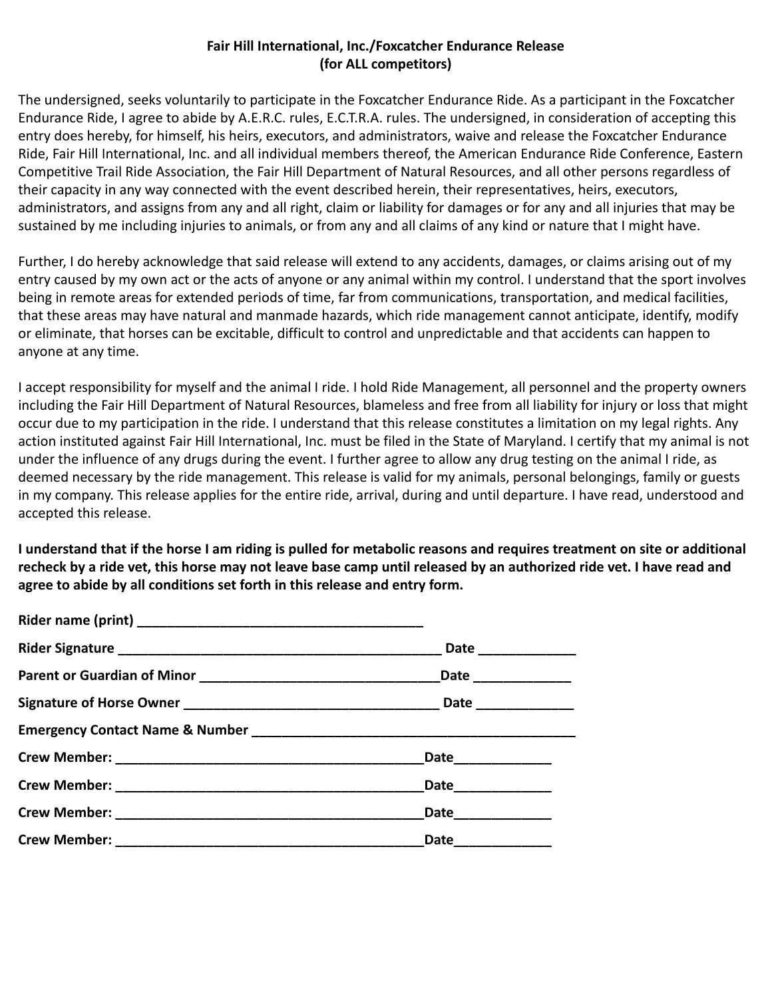# **Fair Hill International, Inc./Foxcatcher Endurance Release (for ALL competitors)**

The undersigned, seeks voluntarily to participate in the Foxcatcher Endurance Ride. As a participant in the Foxcatcher Endurance Ride, I agree to abide by A.E.R.C. rules, E.C.T.R.A. rules. The undersigned, in consideration of accepting this entry does hereby, for himself, his heirs, executors, and administrators, waive and release the Foxcatcher Endurance Ride, Fair Hill International, Inc. and all individual members thereof, the American Endurance Ride Conference, Eastern Competitive Trail Ride Association, the Fair Hill Department of Natural Resources, and all other persons regardless of their capacity in any way connected with the event described herein, their representatives, heirs, executors, administrators, and assigns from any and all right, claim or liability for damages or for any and all injuries that may be sustained by me including injuries to animals, or from any and all claims of any kind or nature that I might have.

Further, I do hereby acknowledge that said release will extend to any accidents, damages, or claims arising out of my entry caused by my own act or the acts of anyone or any animal within my control. I understand that the sport involves being in remote areas for extended periods of time, far from communications, transportation, and medical facilities, that these areas may have natural and manmade hazards, which ride management cannot anticipate, identify, modify or eliminate, that horses can be excitable, difficult to control and unpredictable and that accidents can happen to anyone at any time.

I accept responsibility for myself and the animal I ride. I hold Ride Management, all personnel and the property owners including the Fair Hill Department of Natural Resources, blameless and free from all liability for injury or loss that might occur due to my participation in the ride. I understand that this release constitutes a limitation on my legal rights. Any action instituted against Fair Hill International, Inc. must be filed in the State of Maryland. I certify that my animal is not under the influence of any drugs during the event. I further agree to allow any drug testing on the animal I ride, as deemed necessary by the ride management. This release is valid for my animals, personal belongings, family or guests in my company. This release applies for the entire ride, arrival, during and until departure. I have read, understood and accepted this release.

**I understand that if the horse I am riding is pulled for metabolic reasons and requires treatment on site or additional recheck by a ride vet, this horse may not leave base camp until released by an authorized ride vet. I have read and agree to abide by all conditions set forth in this release and entry form.**

| Date_____________ |  |
|-------------------|--|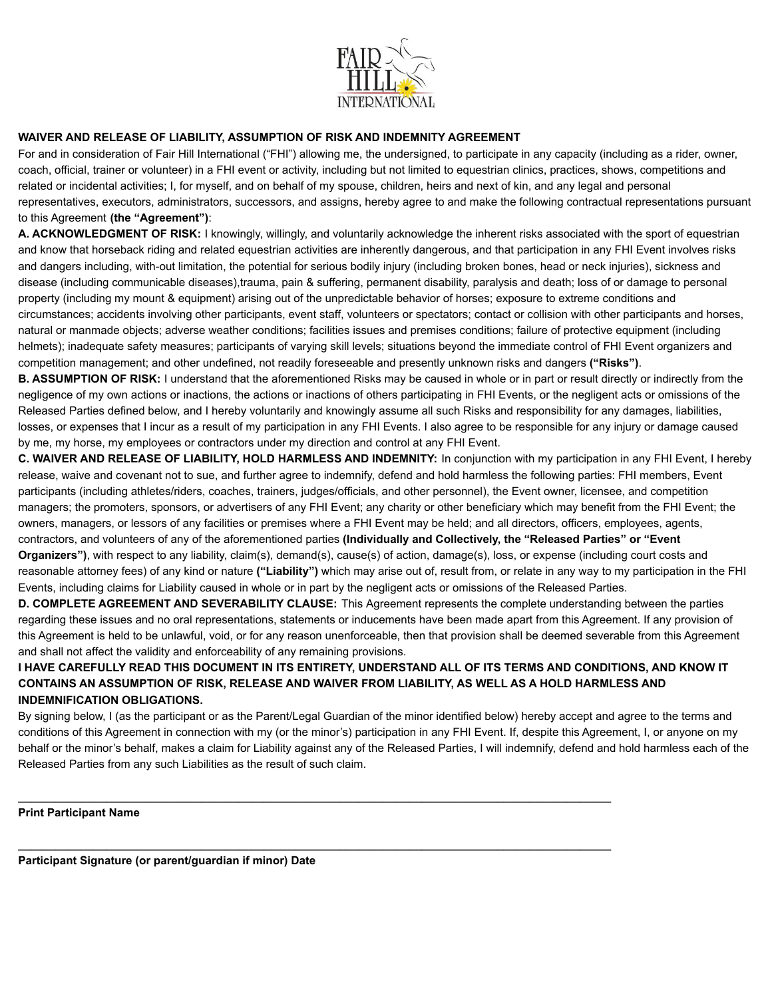

### **WAIVER AND RELEASE OF LIABILITY, ASSUMPTION OF RISK AND INDEMNITY AGREEMENT**

For and in consideration of Fair Hill International ("FHI") allowing me, the undersigned, to participate in any capacity (including as a rider, owner, coach, official, trainer or volunteer) in a FHI event or activity, including but not limited to equestrian clinics, practices, shows, competitions and related or incidental activities; I, for myself, and on behalf of my spouse, children, heirs and next of kin, and any legal and personal representatives, executors, administrators, successors, and assigns, hereby agree to and make the following contractual representations pursuant to this Agreement **(the "Agreement")**:

**A. ACKNOWLEDGMENT OF RISK:** I knowingly, willingly, and voluntarily acknowledge the inherent risks associated with the sport of equestrian and know that horseback riding and related equestrian activities are inherently dangerous, and that participation in any FHI Event involves risks and dangers including, with-out limitation, the potential for serious bodily injury (including broken bones, head or neck injuries), sickness and disease (including communicable diseases),trauma, pain & suffering, permanent disability, paralysis and death; loss of or damage to personal property (including my mount & equipment) arising out of the unpredictable behavior of horses; exposure to extreme conditions and circumstances; accidents involving other participants, event staff, volunteers or spectators; contact or collision with other participants and horses, natural or manmade objects; adverse weather conditions; facilities issues and premises conditions; failure of protective equipment (including helmets); inadequate safety measures; participants of varying skill levels; situations beyond the immediate control of FHI Event organizers and competition management; and other undefined, not readily foreseeable and presently unknown risks and dangers **("Risks")**.

**B. ASSUMPTION OF RISK:** I understand that the aforementioned Risks may be caused in whole or in part or result directly or indirectly from the negligence of my own actions or inactions, the actions or inactions of others participating in FHI Events, or the negligent acts or omissions of the Released Parties defined below, and I hereby voluntarily and knowingly assume all such Risks and responsibility for any damages, liabilities, losses, or expenses that I incur as a result of my participation in any FHI Events. I also agree to be responsible for any injury or damage caused by me, my horse, my employees or contractors under my direction and control at any FHI Event.

**C. WAIVER AND RELEASE OF LIABILITY, HOLD HARMLESS AND INDEMNITY:** In conjunction with my participation in any FHI Event, I hereby release, waive and covenant not to sue, and further agree to indemnify, defend and hold harmless the following parties: FHI members, Event participants (including athletes/riders, coaches, trainers, judges/officials, and other personnel), the Event owner, licensee, and competition managers; the promoters, sponsors, or advertisers of any FHI Event; any charity or other beneficiary which may benefit from the FHI Event; the owners, managers, or lessors of any facilities or premises where a FHI Event may be held; and all directors, officers, employees, agents, contractors, and volunteers of any of the aforementioned parties **(Individually and Collectively, the "Released Parties" or "Event Organizers")**, with respect to any liability, claim(s), demand(s), cause(s) of action, damage(s), loss, or expense (including court costs and reasonable attorney fees) of any kind or nature **("Liability")** which may arise out of, result from, or relate in any way to my participation in the FHI Events, including claims for Liability caused in whole or in part by the negligent acts or omissions of the Released Parties.

**D. COMPLETE AGREEMENT AND SEVERABILITY CLAUSE:** This Agreement represents the complete understanding between the parties regarding these issues and no oral representations, statements or inducements have been made apart from this Agreement. If any provision of this Agreement is held to be unlawful, void, or for any reason unenforceable, then that provision shall be deemed severable from this Agreement and shall not affect the validity and enforceability of any remaining provisions.

### **I HAVE CAREFULLY READ THIS DOCUMENT IN ITS ENTIRETY, UNDERSTAND ALL OF ITS TERMS AND CONDITIONS, AND KNOW IT CONTAINS AN ASSUMPTION OF RISK, RELEASE AND WAIVER FROM LIABILITY, AS WELL AS A HOLD HARMLESS AND INDEMNIFICATION OBLIGATIONS.**

By signing below, I (as the participant or as the Parent/Legal Guardian of the minor identified below) hereby accept and agree to the terms and conditions of this Agreement in connection with my (or the minor's) participation in any FHI Event. If, despite this Agreement, I, or anyone on my behalf or the minor's behalf, makes a claim for Liability against any of the Released Parties, I will indemnify, defend and hold harmless each of the Released Parties from any such Liabilities as the result of such claim.

**\_\_\_\_\_\_\_\_\_\_\_\_\_\_\_\_\_\_\_\_\_\_\_\_\_\_\_\_\_\_\_\_\_\_\_\_\_\_\_\_\_\_\_\_\_\_\_\_\_\_\_\_\_\_\_\_\_\_\_\_\_\_\_\_\_\_\_\_\_\_\_\_\_\_\_\_\_\_\_\_\_\_\_\_\_\_\_\_\_\_\_\_\_\_**

**\_\_\_\_\_\_\_\_\_\_\_\_\_\_\_\_\_\_\_\_\_\_\_\_\_\_\_\_\_\_\_\_\_\_\_\_\_\_\_\_\_\_\_\_\_\_\_\_\_\_\_\_\_\_\_\_\_\_\_\_\_\_\_\_\_\_\_\_\_\_\_\_\_\_\_\_\_\_\_\_\_\_\_\_\_\_\_\_\_\_\_\_\_\_**

**Print Participant Name**